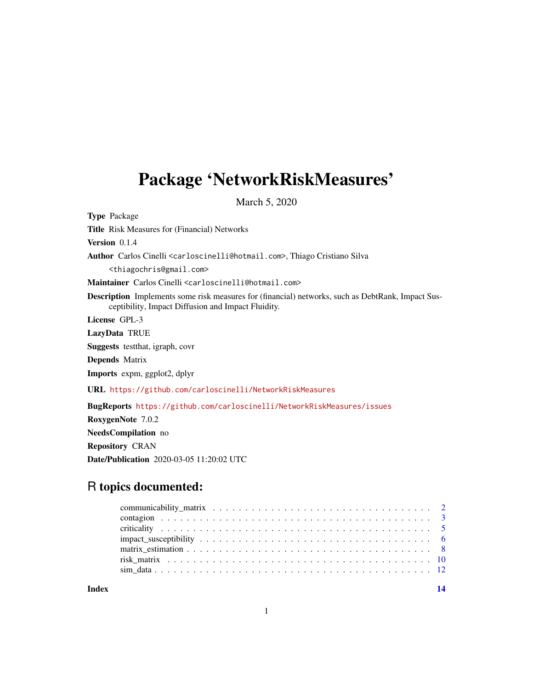## <span id="page-0-0"></span>Package 'NetworkRiskMeasures'

March 5, 2020

Type Package Title Risk Measures for (Financial) Networks Version 0.1.4 Author Carlos Cinelli <carloscinelli@hotmail.com>, Thiago Cristiano Silva <thiagochris@gmail.com> Maintainer Carlos Cinelli <carloscinelli@hotmail.com> Description Implements some risk measures for (financial) networks, such as DebtRank, Impact Susceptibility, Impact Diffusion and Impact Fluidity. License GPL-3 LazyData TRUE Suggests testthat, igraph, covr Depends Matrix Imports expm, ggplot2, dplyr URL <https://github.com/carloscinelli/NetworkRiskMeasures> BugReports <https://github.com/carloscinelli/NetworkRiskMeasures/issues> RoxygenNote 7.0.2 NeedsCompilation no Repository CRAN

Date/Publication 2020-03-05 11:20:02 UTC

## R topics documented:

**Index** 2008 **[14](#page-13-0)**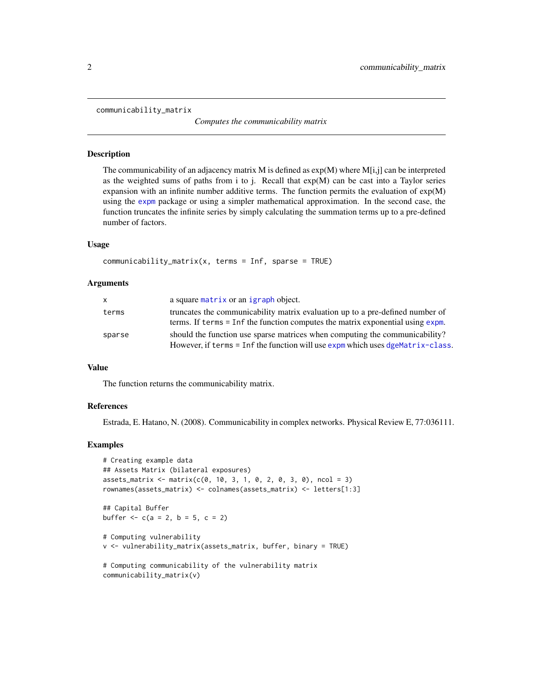#### <span id="page-1-1"></span><span id="page-1-0"></span>communicability\_matrix

*Computes the communicability matrix*

## **Description**

The communicability of an adjacency matrix M is defined as  $exp(M)$  where  $M[i,j]$  can be interpreted as the weighted sums of paths from i to j. Recall that  $exp(M)$  can be cast into a Taylor series expansion with an infinite number additive terms. The function permits the evaluation of exp(M) using the [expm](#page-0-0) package or using a simpler mathematical approximation. In the second case, the function truncates the infinite series by simply calculating the summation terms up to a pre-defined number of factors.

## Usage

```
communicability_matrix(x, terms = Inf, sparse = TRUE)
```
#### Arguments

| x.     | a square matrix or an igraph object.                                                                                                                            |
|--------|-----------------------------------------------------------------------------------------------------------------------------------------------------------------|
| terms  | truncates the communicability matrix evaluation up to a pre-defined number of<br>terms. If terms = Inf the function computes the matrix exponential using expm. |
| sparse | should the function use sparse matrices when computing the communicability?<br>However, if terms = Inf the function will use expm which uses dgeMatrix-class.   |

## Value

The function returns the communicability matrix.

## References

Estrada, E. Hatano, N. (2008). Communicability in complex networks. Physical Review E, 77:036111.

## Examples

```
# Creating example data
## Assets Matrix (bilateral exposures)
assets_matrix < -matrix(c(0, 10, 3, 1, 0, 2, 0, 3, 0), ncol = 3)rownames(assets_matrix) <- colnames(assets_matrix) <- letters[1:3]
## Capital Buffer
buffer <-c(a = 2, b = 5, c = 2)# Computing vulnerability
v <- vulnerability_matrix(assets_matrix, buffer, binary = TRUE)
# Computing communicability of the vulnerability matrix
communicability_matrix(v)
```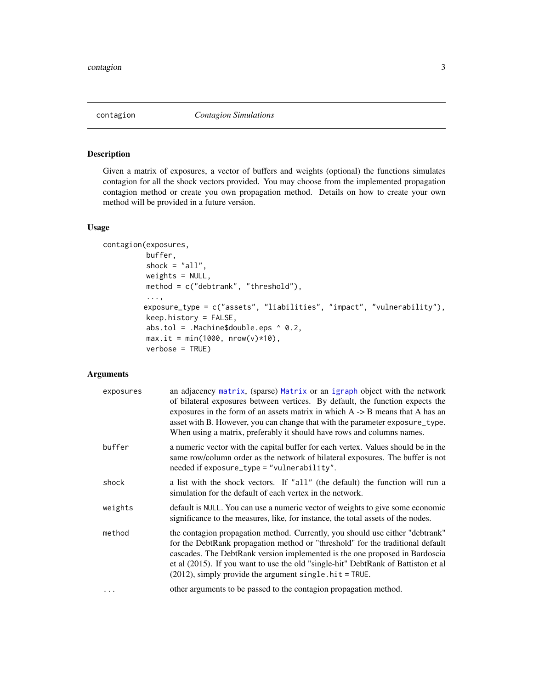<span id="page-2-0"></span>

## Description

Given a matrix of exposures, a vector of buffers and weights (optional) the functions simulates contagion for all the shock vectors provided. You may choose from the implemented propagation contagion method or create you own propagation method. Details on how to create your own method will be provided in a future version.

#### Usage

```
contagion(exposures,
          buffer,
          shock = "all",weights = NULL,method = c("debtrank", "threshold"),
          ...,
         exposure_type = c("assets", "liabilities", "impact", "vulnerability"),
          keep.history = FALSE,
          abs.tol = .Machine$double.eps ^ 0.2,
          max.it = min(1000, nrow(v)*10),verbose = TRUE)
```
## Arguments

| exposures | an adjacency matrix, (sparse) Matrix or an igraph object with the network<br>of bilateral exposures between vertices. By default, the function expects the<br>exposures in the form of an assets matrix in which $A \rightarrow B$ means that A has an<br>asset with B. However, you can change that with the parameter exposure_type.<br>When using a matrix, preferably it should have rows and columns names. |
|-----------|------------------------------------------------------------------------------------------------------------------------------------------------------------------------------------------------------------------------------------------------------------------------------------------------------------------------------------------------------------------------------------------------------------------|
| buffer    | a numeric vector with the capital buffer for each vertex. Values should be in the<br>same row/column order as the network of bilateral exposures. The buffer is not<br>needed if exposure_type = "vulnerability".                                                                                                                                                                                                |
| shock     | a list with the shock vectors. If "all" (the default) the function will run a<br>simulation for the default of each vertex in the network.                                                                                                                                                                                                                                                                       |
| weights   | default is NULL. You can use a numeric vector of weights to give some economic<br>significance to the measures, like, for instance, the total assets of the nodes.                                                                                                                                                                                                                                               |
| method    | the contagion propagation method. Currently, you should use either "debtrank"<br>for the DebtRank propagation method or "threshold" for the traditional default<br>cascades. The DebtRank version implemented is the one proposed in Bardoscia<br>et al (2015). If you want to use the old "single-hit" DebtRank of Battiston et al<br>$(2012)$ , simply provide the argument single. hit = TRUE.                |
| .         | other arguments to be passed to the contagion propagation method.                                                                                                                                                                                                                                                                                                                                                |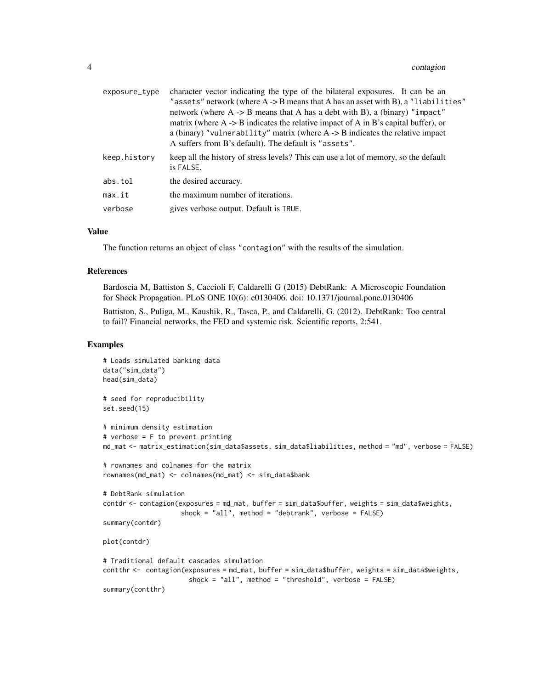| exposure_type | character vector indicating the type of the bilateral exposures. It can be an<br>"assets" network (where $A \rightarrow B$ means that A has an asset with B), a "liabilities"<br>network (where $A \rightarrow B$ means that A has a debt with B), a (binary) "impact"<br>matrix (where $A \rightarrow B$ indicates the relative impact of A in B's capital buffer), or<br>a (binary) "vulnerability" matrix (where $A \rightarrow B$ indicates the relative impact<br>A suffers from B's default). The default is "assets". |
|---------------|------------------------------------------------------------------------------------------------------------------------------------------------------------------------------------------------------------------------------------------------------------------------------------------------------------------------------------------------------------------------------------------------------------------------------------------------------------------------------------------------------------------------------|
| keep.history  | keep all the history of stress levels? This can use a lot of memory, so the default<br>is FALSE.                                                                                                                                                                                                                                                                                                                                                                                                                             |
| abs.tol       | the desired accuracy.                                                                                                                                                                                                                                                                                                                                                                                                                                                                                                        |
| max.it        | the maximum number of iterations.                                                                                                                                                                                                                                                                                                                                                                                                                                                                                            |
| verbose       | gives verbose output. Default is TRUE.                                                                                                                                                                                                                                                                                                                                                                                                                                                                                       |

#### Value

The function returns an object of class "contagion" with the results of the simulation.

#### References

Bardoscia M, Battiston S, Caccioli F, Caldarelli G (2015) DebtRank: A Microscopic Foundation for Shock Propagation. PLoS ONE 10(6): e0130406. doi: 10.1371/journal.pone.0130406

Battiston, S., Puliga, M., Kaushik, R., Tasca, P., and Caldarelli, G. (2012). DebtRank: Too central to fail? Financial networks, the FED and systemic risk. Scientific reports, 2:541.

## Examples

```
# Loads simulated banking data
data("sim_data")
head(sim_data)
# seed for reproducibility
set.seed(15)
# minimum density estimation
# verbose = F to prevent printing
md_mat <- matrix_estimation(sim_data$assets, sim_data$liabilities, method = "md", verbose = FALSE)
# rownames and colnames for the matrix
rownames(md_mat) <- colnames(md_mat) <- sim_data$bank
# DebtRank simulation
contdr <- contagion(exposures = md_mat, buffer = sim_data$buffer, weights = sim_data$weights,
                    shock = "all", method = "debtrank", verbose = FALSE)
summary(contdr)
plot(contdr)
# Traditional default cascades simulation
contthr <- contagion(exposures = md_mat, buffer = sim_data$buffer, weights = sim_data$weights,
                      shock = "all", method = "threshold", verbose = FALSE)
summary(contthr)
```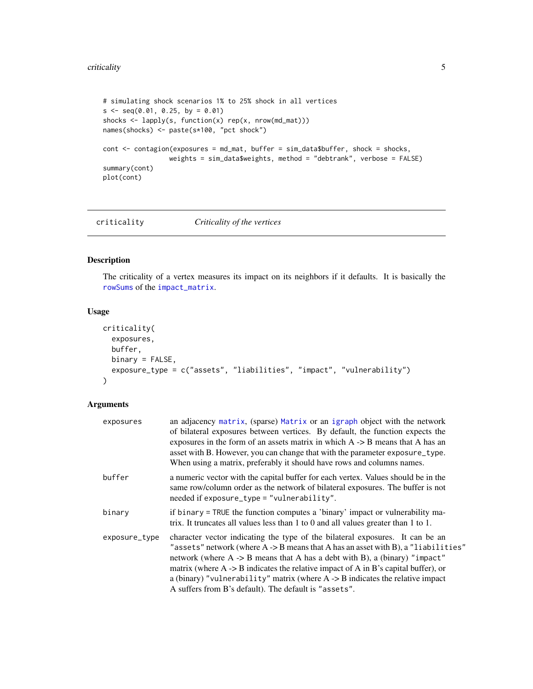#### <span id="page-4-0"></span>criticality 5

```
# simulating shock scenarios 1% to 25% shock in all vertices
s \leq seq(0.01, 0.25, by = 0.01)shocks <- lapply(s, function(x) rep(x, nrow(md_mat)))
names(shocks) <- paste(s*100, "pct shock")
cont <- contagion(exposures = md_mat, buffer = sim_data$buffer, shock = shocks,
                 weights = sim_data$weights, method = "debtrank", verbose = FALSE)
summary(cont)
plot(cont)
```
criticality *Criticality of the vertices*

## Description

The criticality of a vertex measures its impact on its neighbors if it defaults. It is basically the [rowSums](#page-0-0) of the [impact\\_matrix](#page-9-1).

## Usage

```
criticality(
  exposures,
  buffer,
 binary = FALSE,
  exposure_type = c("assets", "liabilities", "impact", "vulnerability")
\mathcal{L}
```
## Arguments

| exposures     | an adjacency matrix, (sparse) Matrix or an igraph object with the network<br>of bilateral exposures between vertices. By default, the function expects the<br>exposures in the form of an assets matrix in which $A \rightarrow B$ means that A has an<br>asset with B. However, you can change that with the parameter exposure_type.<br>When using a matrix, preferably it should have rows and columns names.                                                                                                             |
|---------------|------------------------------------------------------------------------------------------------------------------------------------------------------------------------------------------------------------------------------------------------------------------------------------------------------------------------------------------------------------------------------------------------------------------------------------------------------------------------------------------------------------------------------|
| buffer        | a numeric vector with the capital buffer for each vertex. Values should be in the<br>same row/column order as the network of bilateral exposures. The buffer is not<br>needed if exposure_type = "vulnerability".                                                                                                                                                                                                                                                                                                            |
| binary        | if binary = TRUE the function computes a 'binary' impact or vulnerability ma-<br>trix. It truncates all values less than 1 to 0 and all values greater than 1 to 1.                                                                                                                                                                                                                                                                                                                                                          |
| exposure_type | character vector indicating the type of the bilateral exposures. It can be an<br>"assets" network (where $A \rightarrow B$ means that A has an asset with B), a "liabilities"<br>network (where $A \rightarrow B$ means that A has a debt with B), a (binary) "impact"<br>matrix (where $A \rightarrow B$ indicates the relative impact of A in B's capital buffer), or<br>a (binary) "vulnerability" matrix (where $A \rightarrow B$ indicates the relative impact<br>A suffers from B's default). The default is "assets". |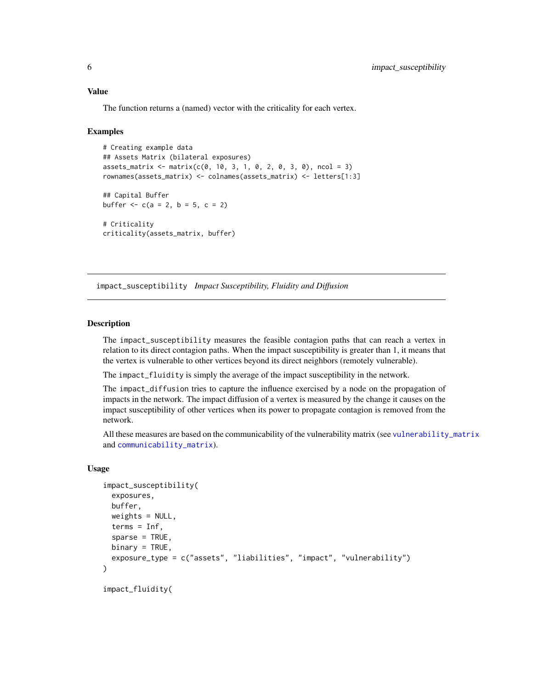## <span id="page-5-0"></span>Value

The function returns a (named) vector with the criticality for each vertex.

## Examples

```
# Creating example data
## Assets Matrix (bilateral exposures)
assets_matrix < - matrix(c(0, 10, 3, 1, 0, 2, 0, 3, 0), ncol = 3)rownames(assets_matrix) <- colnames(assets_matrix) <- letters[1:3]
## Capital Buffer
buffer <-c(a = 2, b = 5, c = 2)# Criticality
criticality(assets_matrix, buffer)
```
impact\_susceptibility *Impact Susceptibility, Fluidity and Diffusion*

## Description

The impact\_susceptibility measures the feasible contagion paths that can reach a vertex in relation to its direct contagion paths. When the impact susceptibility is greater than 1, it means that the vertex is vulnerable to other vertices beyond its direct neighbors (remotely vulnerable).

The impact\_fluidity is simply the average of the impact susceptibility in the network.

The impact\_diffusion tries to capture the influence exercised by a node on the propagation of impacts in the network. The impact diffusion of a vertex is measured by the change it causes on the impact susceptibility of other vertices when its power to propagate contagion is removed from the network.

All these measures are based on the communicability of the vulnerability matrix (see [vulnerability\\_matrix](#page-9-1) and [communicability\\_matrix](#page-1-1)).

## Usage

```
impact_susceptibility(
  exposures,
 buffer,
 weights = NULL,terms = Inf,
  sparse = TRUE,binary = TRUE,
  exposure_type = c("assets", "liabilities", "impact", "vulnerability")
\lambda
```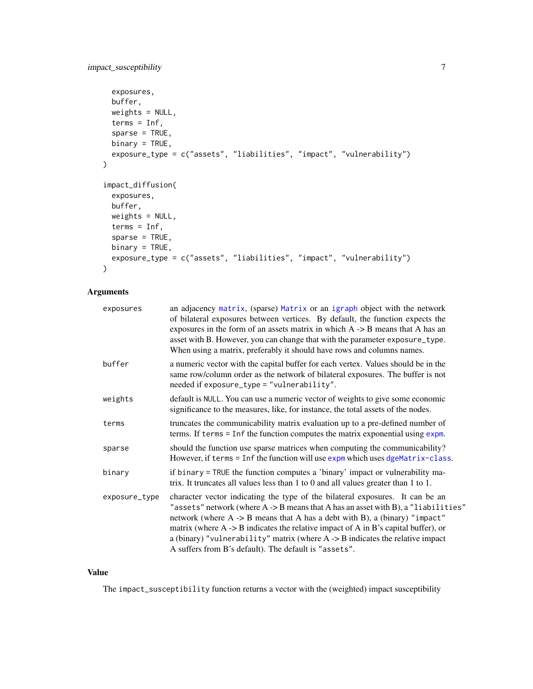```
exposures,
 buffer,
 weights = NULL,
 terms = Inf,
  sparse = TRUE,
 binary = TRUE,
 exposure_type = c("assets", "liabilities", "impact", "vulnerability")
\mathcal{L}impact_diffusion(
 exposures,
 buffer,
 weights = NULL,
 terms = Inf,
  sparse = TRUE,
 binary = TRUE,
 exposure_type = c("assets", "liabilities", "impact", "vulnerability")
\mathcal{L}
```
## Arguments

| exposures     | an adjacency matrix, (sparse) Matrix or an igraph object with the network<br>of bilateral exposures between vertices. By default, the function expects the<br>exposures in the form of an assets matrix in which $A \rightarrow B$ means that A has an<br>asset with B. However, you can change that with the parameter exposure_type.<br>When using a matrix, preferably it should have rows and columns names.                                                                                                  |
|---------------|-------------------------------------------------------------------------------------------------------------------------------------------------------------------------------------------------------------------------------------------------------------------------------------------------------------------------------------------------------------------------------------------------------------------------------------------------------------------------------------------------------------------|
| buffer        | a numeric vector with the capital buffer for each vertex. Values should be in the<br>same row/column order as the network of bilateral exposures. The buffer is not<br>needed if exposure_type = "vulnerability".                                                                                                                                                                                                                                                                                                 |
| weights       | default is NULL. You can use a numeric vector of weights to give some economic<br>significance to the measures, like, for instance, the total assets of the nodes.                                                                                                                                                                                                                                                                                                                                                |
| terms         | truncates the communicability matrix evaluation up to a pre-defined number of<br>terms. If terms $=$ Inf the function computes the matrix exponential using $exp$ m.                                                                                                                                                                                                                                                                                                                                              |
| sparse        | should the function use sparse matrices when computing the communicability?<br>However, if terms = Inf the function will use expm which uses dgeMatrix-class.                                                                                                                                                                                                                                                                                                                                                     |
| binary        | if binary = TRUE the function computes a 'binary' impact or vulnerability ma-<br>trix. It truncates all values less than $1$ to $0$ and all values greater than $1$ to $1$ .                                                                                                                                                                                                                                                                                                                                      |
| exposure_type | character vector indicating the type of the bilateral exposures. It can be an<br>"assets" network (where A -> B means that A has an asset with B), a "liabilities"<br>network (where $A \rightarrow B$ means that A has a debt with B), a (binary) "impact"<br>matrix (where $A \rightarrow B$ indicates the relative impact of A in B's capital buffer), or<br>a (binary) "vulnerability" matrix (where $A \rightarrow B$ indicates the relative impact<br>A suffers from B's default). The default is "assets". |

## Value

The impact\_susceptibility function returns a vector with the (weighted) impact susceptibility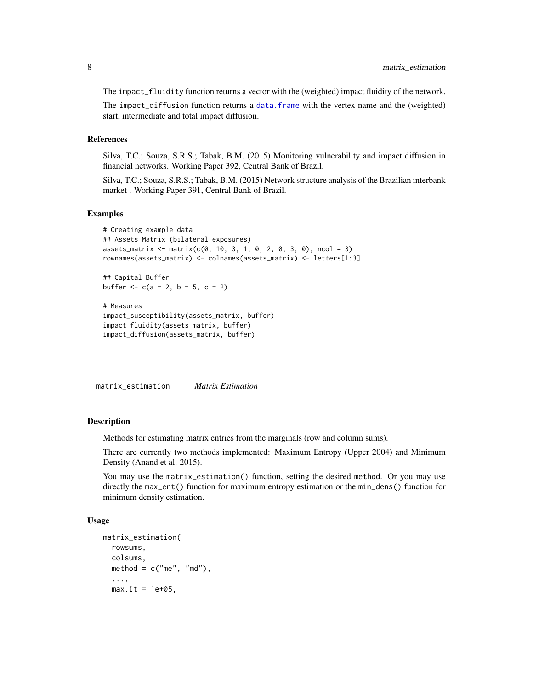<span id="page-7-0"></span>The impact\_fluidity function returns a vector with the (weighted) impact fluidity of the network.

The impact\_diffusion function returns a [data.frame](#page-0-0) with the vertex name and the (weighted) start, intermediate and total impact diffusion.

## References

Silva, T.C.; Souza, S.R.S.; Tabak, B.M. (2015) Monitoring vulnerability and impact diffusion in financial networks. Working Paper 392, Central Bank of Brazil.

Silva, T.C.; Souza, S.R.S.; Tabak, B.M. (2015) Network structure analysis of the Brazilian interbank market . Working Paper 391, Central Bank of Brazil.

## Examples

```
# Creating example data
## Assets Matrix (bilateral exposures)
assets_matrix \leftarrow matrix(c(0, 10, 3, 1, 0, 2, 0, 3, 0), ncol = 3)rownames(assets_matrix) <- colnames(assets_matrix) <- letters[1:3]
## Capital Buffer
buffer <- c(a = 2, b = 5, c = 2)
# Measures
impact_susceptibility(assets_matrix, buffer)
impact_fluidity(assets_matrix, buffer)
impact_diffusion(assets_matrix, buffer)
```
matrix\_estimation *Matrix Estimation*

## Description

Methods for estimating matrix entries from the marginals (row and column sums).

There are currently two methods implemented: Maximum Entropy (Upper 2004) and Minimum Density (Anand et al. 2015).

You may use the matrix\_estimation() function, setting the desired method. Or you may use directly the max\_ent() function for maximum entropy estimation or the min\_dens() function for minimum density estimation.

## Usage

```
matrix_estimation(
 rowsums,
 colsums,
 method = c("me", "md"),
  ...,
 max.it = 1e+05,
```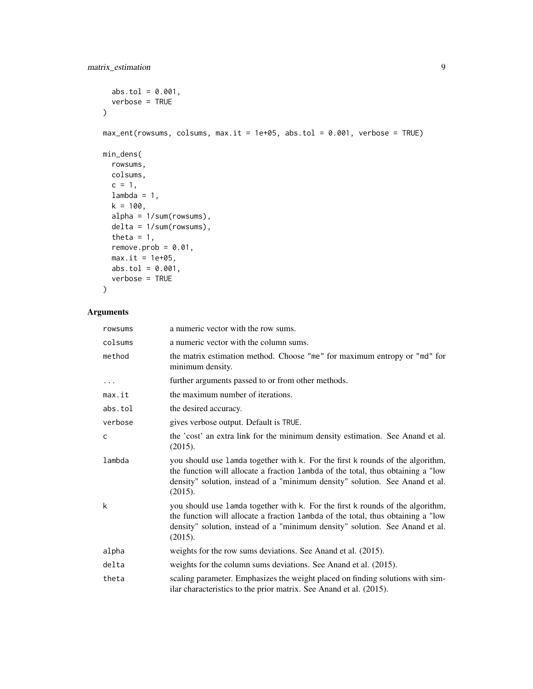```
abs.tol = 0.001,
 verbose = TRUE
\mathcal{L}max_ent(rowsums, colsums, max.it = 1e+05, abs.tol = 0.001, verbose = TRUE)
min_dens(
 rowsums,
 colsums,
 c = 1,lambda = 1,
 k = 100,alpha = 1/sum(rowsums),
 delta = 1/sum(rowsums),
 theta = 1,
 remove.prob = 0.01,max.it = 1e+05,
 abs.tol = 0.001,
 verbose = TRUE
```

```
\mathcal{L}
```
## Arguments

| rowsums  | a numeric vector with the row sums.                                                                                                                                                                                                                           |
|----------|---------------------------------------------------------------------------------------------------------------------------------------------------------------------------------------------------------------------------------------------------------------|
| colsums  | a numeric vector with the column sums.                                                                                                                                                                                                                        |
| method   | the matrix estimation method. Choose "me" for maximum entropy or "md" for<br>minimum density.                                                                                                                                                                 |
| $\cdots$ | further arguments passed to or from other methods.                                                                                                                                                                                                            |
| max.it   | the maximum number of iterations.                                                                                                                                                                                                                             |
| abs.tol  | the desired accuracy.                                                                                                                                                                                                                                         |
| verbose  | gives verbose output. Default is TRUE.                                                                                                                                                                                                                        |
| c        | the 'cost' an extra link for the minimum density estimation. See Anand et al.<br>(2015).                                                                                                                                                                      |
| lambda   | you should use lamda together with k. For the first k rounds of the algorithm,<br>the function will allocate a fraction lambda of the total, thus obtaining a "low<br>density" solution, instead of a "minimum density" solution. See Anand et al.<br>(2015). |
| k        | you should use lamda together with k. For the first k rounds of the algorithm,<br>the function will allocate a fraction lambda of the total, thus obtaining a "low<br>density" solution, instead of a "minimum density" solution. See Anand et al.<br>(2015). |
| alpha    | weights for the row sums deviations. See Anand et al. (2015).                                                                                                                                                                                                 |
| delta    | weights for the column sums deviations. See Anand et al. (2015).                                                                                                                                                                                              |
| theta    | scaling parameter. Emphasizes the weight placed on finding solutions with sim-<br>ilar characteristics to the prior matrix. See Anand et al. (2015).                                                                                                          |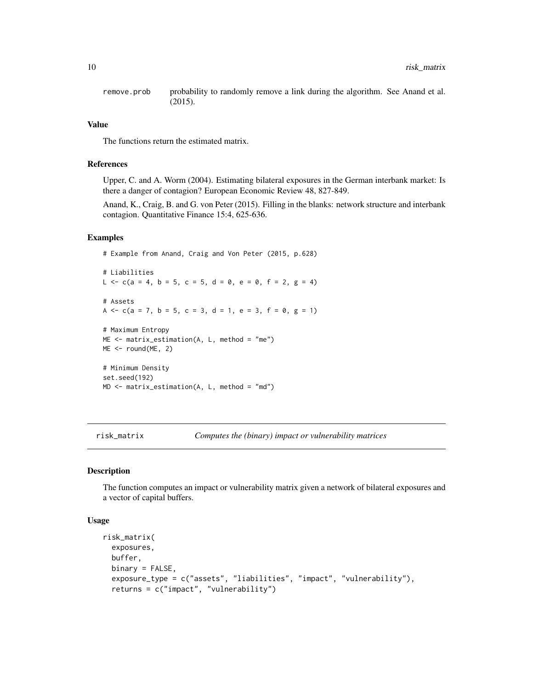<span id="page-9-0"></span>remove.prob probability to randomly remove a link during the algorithm. See Anand et al. (2015).

## Value

The functions return the estimated matrix.

## References

Upper, C. and A. Worm (2004). Estimating bilateral exposures in the German interbank market: Is there a danger of contagion? European Economic Review 48, 827-849.

Anand, K., Craig, B. and G. von Peter (2015). Filling in the blanks: network structure and interbank contagion. Quantitative Finance 15:4, 625-636.

#### Examples

# Example from Anand, Craig and Von Peter (2015, p.628)

```
# Liabilities
L \leq c(a = 4, b = 5, c = 5, d = 0, e = 0, f = 2, g = 4)
# Assets
A \leq c(a = 7, b = 5, c = 3, d = 1, e = 3, f = 0, g = 1)
# Maximum Entropy
ME < - matrix_estimation(A, L, method = "me")
ME <- round(ME, 2)
# Minimum Density
set.seed(192)
MD <- matrix_estimation(A, L, method = "md")
```
risk\_matrix *Computes the (binary) impact or vulnerability matrices*

### <span id="page-9-1"></span>Description

The function computes an impact or vulnerability matrix given a network of bilateral exposures and a vector of capital buffers.

## Usage

```
risk_matrix(
  exposures,
 buffer,
 binary = FALSE,
  exposure_type = c("assets", "liabilities", "impact", "vulnerability"),
  returns = c("impact", "vulnerability")
```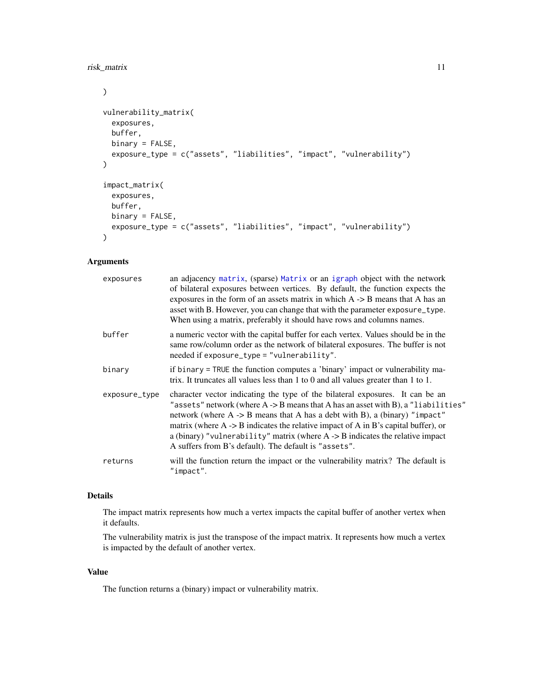```
\mathcal{L}vulnerability_matrix(
  exposures,
 buffer,
 binary = FALSE,
  exposure_type = c("assets", "liabilities", "impact", "vulnerability")
\mathcal{L}impact_matrix(
 exposures,
 buffer,
 binary = FALSE,
 exposure_type = c("assets", "liabilities", "impact", "vulnerability")
)
```
## Arguments

| exposures     | an adjacency matrix, (sparse) Matrix or an igraph object with the network<br>of bilateral exposures between vertices. By default, the function expects the<br>exposures in the form of an assets matrix in which $A \rightarrow B$ means that A has an<br>asset with B. However, you can change that with the parameter exposure_type.<br>When using a matrix, preferably it should have rows and columns names.                                                                                                             |
|---------------|------------------------------------------------------------------------------------------------------------------------------------------------------------------------------------------------------------------------------------------------------------------------------------------------------------------------------------------------------------------------------------------------------------------------------------------------------------------------------------------------------------------------------|
| buffer        | a numeric vector with the capital buffer for each vertex. Values should be in the<br>same row/column order as the network of bilateral exposures. The buffer is not<br>needed if exposure_type = "vulnerability".                                                                                                                                                                                                                                                                                                            |
| binary        | if binary = TRUE the function computes a 'binary' impact or vulnerability ma-<br>trix. It truncates all values less than 1 to 0 and all values greater than 1 to 1.                                                                                                                                                                                                                                                                                                                                                          |
| exposure_type | character vector indicating the type of the bilateral exposures. It can be an<br>"assets" network (where $A \rightarrow B$ means that A has an asset with B), a "liabilities"<br>network (where $A \rightarrow B$ means that A has a debt with B), a (binary) "impact"<br>matrix (where $A \rightarrow B$ indicates the relative impact of A in B's capital buffer), or<br>a (binary) "vulnerability" matrix (where $A \rightarrow B$ indicates the relative impact<br>A suffers from B's default). The default is "assets". |
| returns       | will the function return the impact or the vulnerability matrix? The default is<br>"impact".                                                                                                                                                                                                                                                                                                                                                                                                                                 |

## Details

The impact matrix represents how much a vertex impacts the capital buffer of another vertex when it defaults.

The vulnerability matrix is just the transpose of the impact matrix. It represents how much a vertex is impacted by the default of another vertex.

## Value

The function returns a (binary) impact or vulnerability matrix.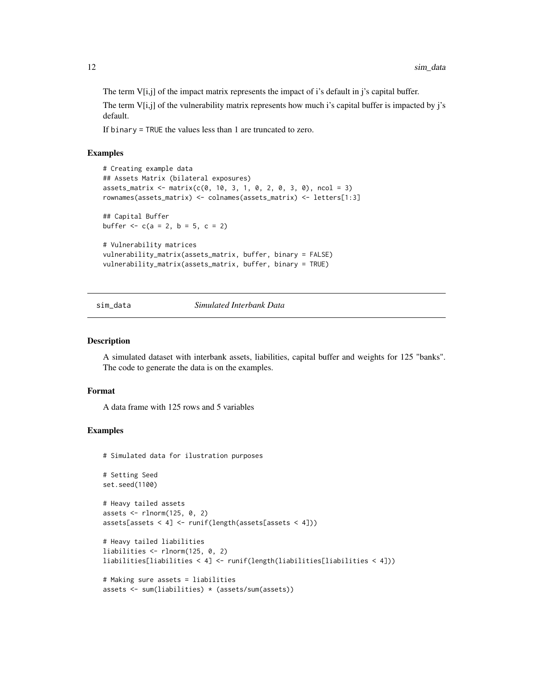<span id="page-11-0"></span>The term  $V[i,j]$  of the impact matrix represents the impact of i's default in j's capital buffer.

The term  $V[i,j]$  of the vulnerability matrix represents how much i's capital buffer is impacted by j's default.

If binary = TRUE the values less than 1 are truncated to zero.

## Examples

```
# Creating example data
## Assets Matrix (bilateral exposures)
assets_matrix <- matrix(c(0, 10, 3, 1, 0, 2, 0, 3, 0), ncol = 3)
rownames(assets_matrix) <- colnames(assets_matrix) <- letters[1:3]
## Capital Buffer
buffer <-c(a = 2, b = 5, c = 2)# Vulnerability matrices
vulnerability_matrix(assets_matrix, buffer, binary = FALSE)
vulnerability_matrix(assets_matrix, buffer, binary = TRUE)
```
sim\_data *Simulated Interbank Data*

#### Description

A simulated dataset with interbank assets, liabilities, capital buffer and weights for 125 "banks". The code to generate the data is on the examples.

## Format

A data frame with 125 rows and 5 variables

## Examples

```
# Simulated data for ilustration purposes
```

```
# Setting Seed
set.seed(1100)
```

```
# Heavy tailed assets
assets \le rlnorm(125, 0, 2)
assets[assets < 4] \leftarrow runif(length(assets[assets < 4]))
```

```
# Heavy tailed liabilities
liabilities <- rlnorm(125, 0, 2)
liabilities[liabilities < 4] <- runif(length(liabilities[liabilities < 4]))
```

```
# Making sure assets = liabilities
assets <- sum(liabilities) * (assets/sum(assets))
```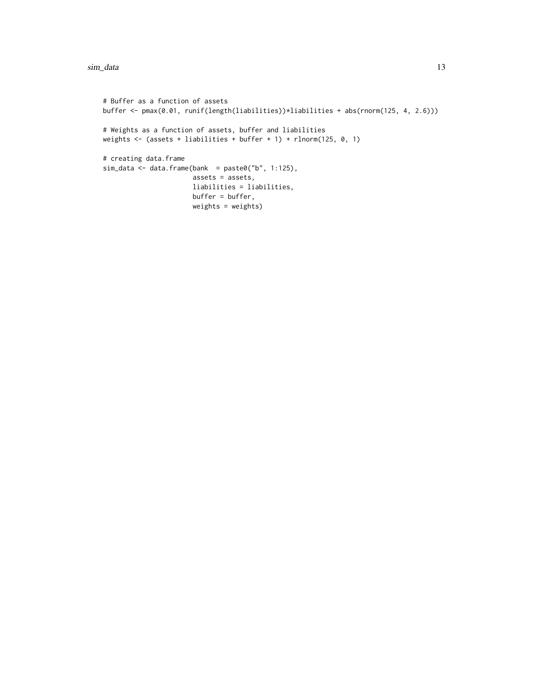```
# Buffer as a function of assets
buffer <- pmax(0.01, runif(length(liabilities))*liabilities + abs(rnorm(125, 4, 2.6)))
# Weights as a function of assets, buffer and liabilities
weights <- (assets + liabilities + buffer + 1) + rlnorm(125, 0, 1)
# creating data.frame
sim\_data \leftarrow data frame(bank = paste0("b", 1:125),assets = assets,
                       liabilities = liabilities,
                       buffer = buffer,
                       weights = weights)
```